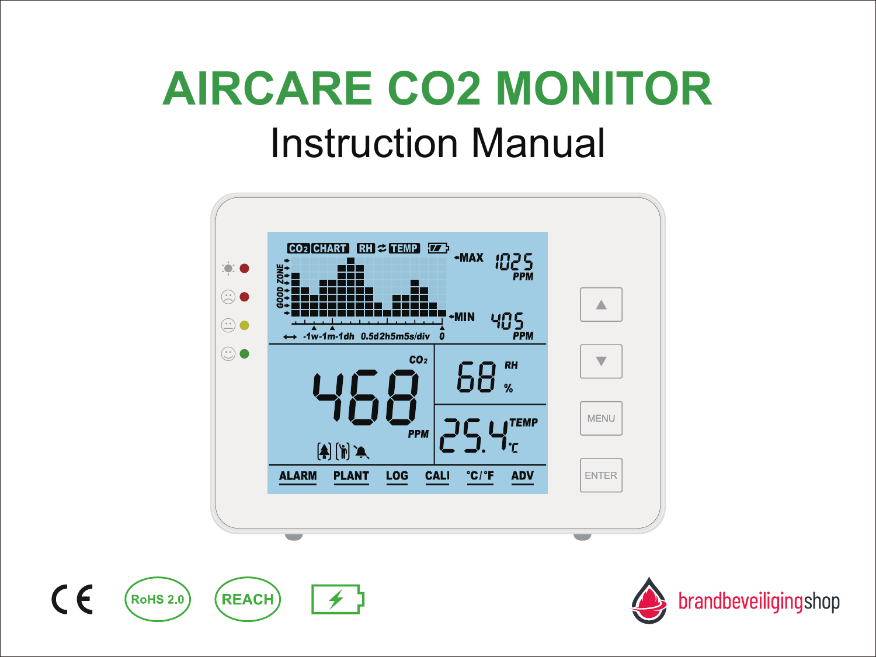# Instruction Manual **AIRCARE CO2 MONITOR**





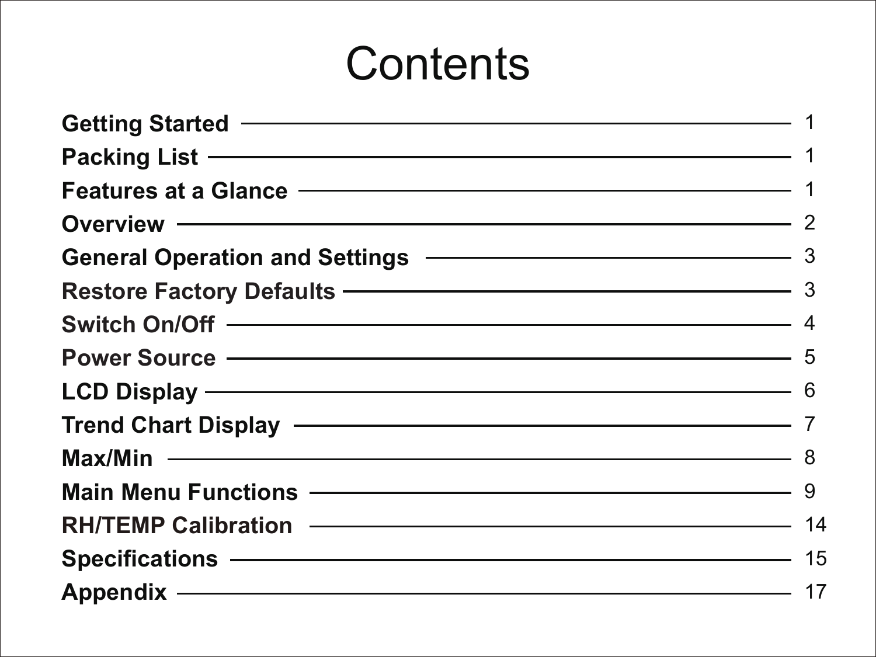## **Contents**

| Getting Started – Contract Contract Contract Contract Contract Contract Contract Contract Contract Contract Co                                                                                                                       |  |
|--------------------------------------------------------------------------------------------------------------------------------------------------------------------------------------------------------------------------------------|--|
|                                                                                                                                                                                                                                      |  |
| Features at a Glance - The Contract of the Seatures of the Seatures of the Seatures of the Seatures of the Seatures                                                                                                                  |  |
|                                                                                                                                                                                                                                      |  |
| General Operation and Settings <b>CONSISTENT</b> 3                                                                                                                                                                                   |  |
| Restore Factory Defaults - 3                                                                                                                                                                                                         |  |
| Switch On/Off – 4                                                                                                                                                                                                                    |  |
|                                                                                                                                                                                                                                      |  |
| LCD Display - 6                                                                                                                                                                                                                      |  |
| Trend Chart Display - 7                                                                                                                                                                                                              |  |
| Max/Min - 8                                                                                                                                                                                                                          |  |
| Main Menu Functions - Main Main Menu Functions - 9                                                                                                                                                                                   |  |
| RH/TEMP Calibration - 14                                                                                                                                                                                                             |  |
| Specifications - 15                                                                                                                                                                                                                  |  |
| Appendix <u>and the set of the set of the set of the set of the set of the set of the set of the set of the set of the set of the set of the set of the set of the set of the set of the set of the set of the set of the set of</u> |  |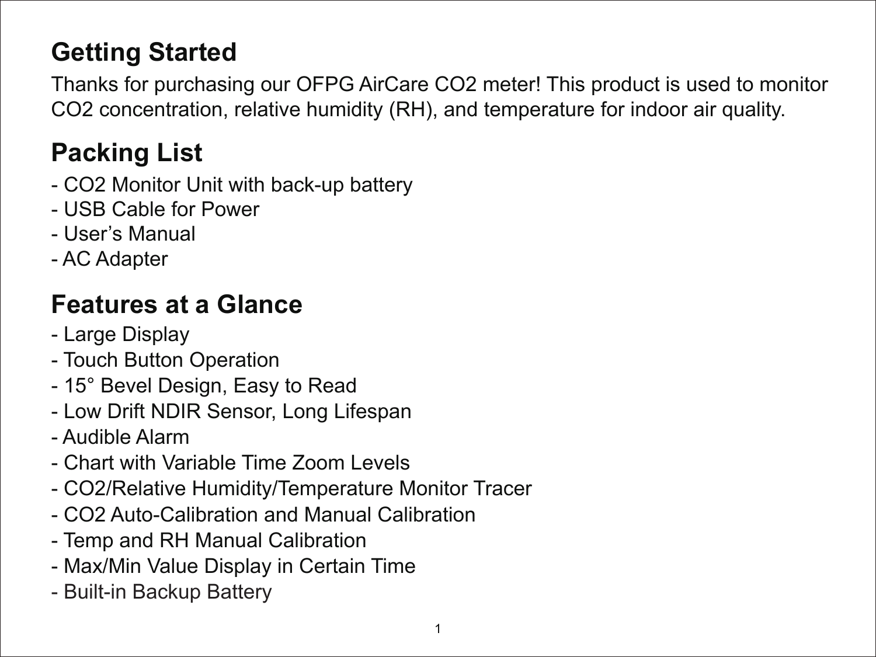## **Getting Started**

Thanks for purchasing our OFPG AirCare CO2 meter! This product is used to monitor CO2 concentration, relative humidity (RH), and temperature for indoor air quality.

## **Packing List**

- CO2 Monitor Unit with back-up battery
- USB Cable for Power
- User's Manual
- AC Adapter

## **Features at a Glance**

- Large Display
- Touch Button Operation
- 15° Bevel Design, Easy to Read
- Low Drift NDIR Sensor, Long Lifespan
- Audible Alarm
- Chart with Variable Time Zoom Levels
- CO2/Relative Humidity/Temperature Monitor Tracer
- CO2 Auto-Calibration and Manual Calibration
- Temp and RH Manual Calibration
- Max/Min Value Display in Certain Time
- Built-in Backup Battery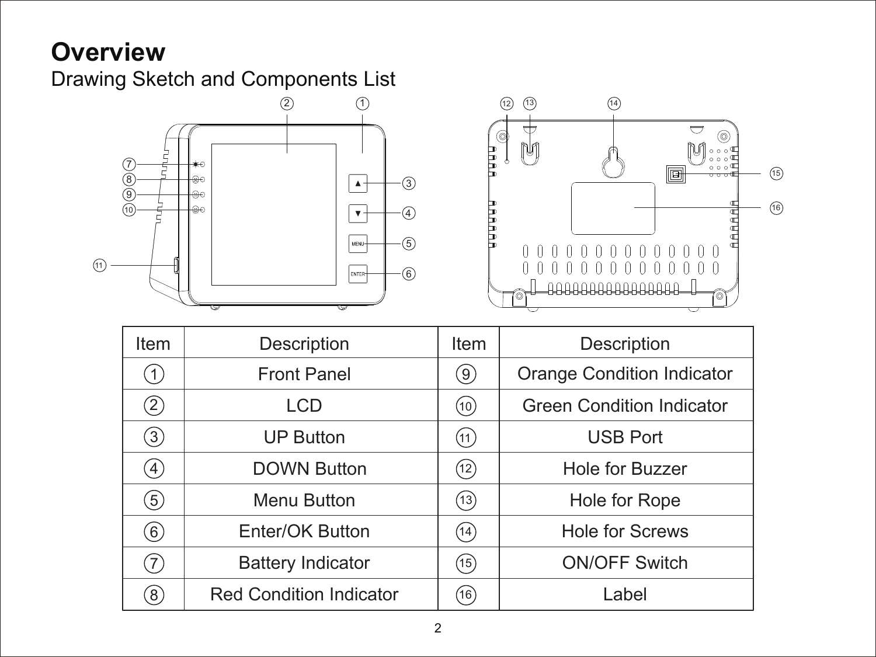## **Overview**

Drawing Sketch and Components List



| Item              | Description                    | Item | Description                      |
|-------------------|--------------------------------|------|----------------------------------|
| (1)               | <b>Front Panel</b>             | (9)  | Orange Condition Indicator       |
| $\left( 2\right)$ | LCD                            | (10) | <b>Green Condition Indicator</b> |
| $\left( 3\right)$ | <b>UP Button</b>               | (11) | <b>USB Port</b>                  |
| $\left( 4\right)$ | <b>DOWN Button</b>             | (12) | Hole for Buzzer                  |
| 5)                | Menu Button                    | (13) | Hole for Rope                    |
| 6)                | Enter/OK Button                | (14) | <b>Hole for Screws</b>           |
| 7)                | <b>Battery Indicator</b>       | (15) | <b>ON/OFF Switch</b>             |
| $^{(8)}$          | <b>Red Condition Indicator</b> | (16) | Label                            |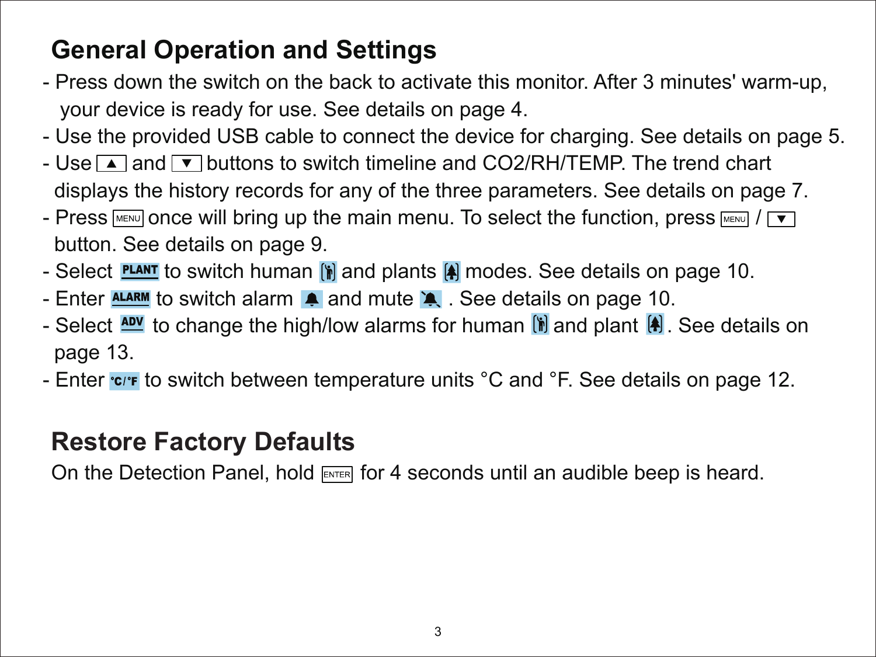## **General Operation and Settings**

- Press down the switch on the back to activate this monitor. After 3 minutes' warm-up, your device is ready for use. See details on page 4.
- Use the provided USB cable to connect the device for charging. See details on page 5.
- Use  $\blacktriangle$  and  $\blacktriangledown$  buttons to switch timeline and CO2/RH/TEMP. The trend chart displays the history records for any of the three parameters. See details on page 7.
- Press  $\boxed{\text{MEN} }$  once will bring up the main menu. To select the function, press  $\boxed{\text{MEN}}$  /  $\boxed{\bullet}$ button. See details on page 9.
- Select **PLANT** to switch human  $\left[\frac{1}{2}\right]$  and plants  $\left[\frac{1}{2}\right]$  modes. See details on page 10.
- Enter **ALARM** to switch alarm **A** and mute **A**. See details on page 10.
- Select  $\frac{\text{ADV}}{\text{ADV}}$  to change the high/low alarms for human  $\left[\mathbf{h}\right]$  and plant  $\left[\mathbf{A}\right]$ . See details on page 13.
- Enter rout to switch between temperature units °C and °F. See details on page 12.

#### **Restore Factory Defaults**

On the Detection Panel, hold  $F_{\text{inter}}$  for 4 seconds until an audible beep is heard.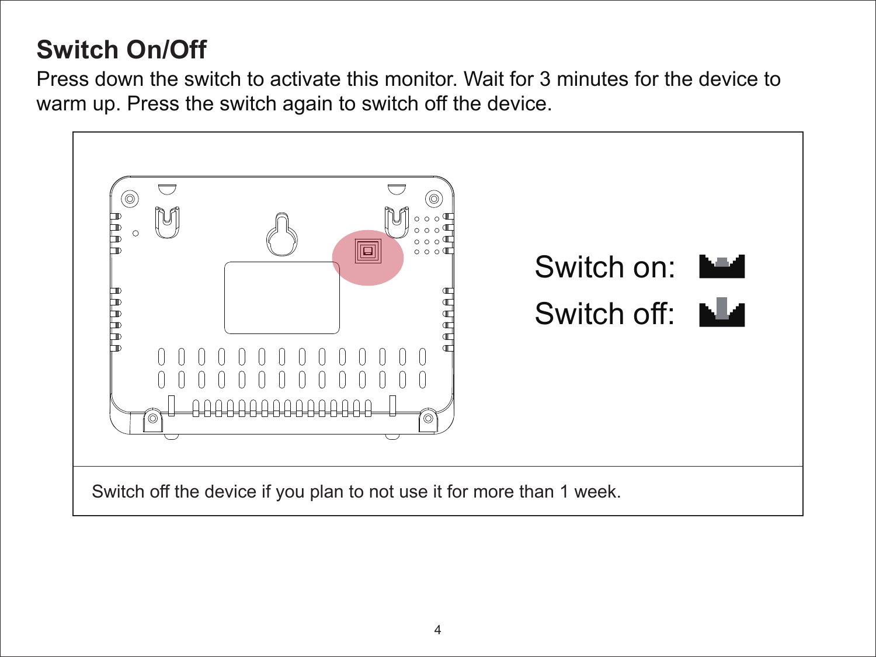## **Switch On/Off**

Press down the switch to activate this monitor. Wait for 3 minutes for the device to warm up. Press the switch again to switch off the device.

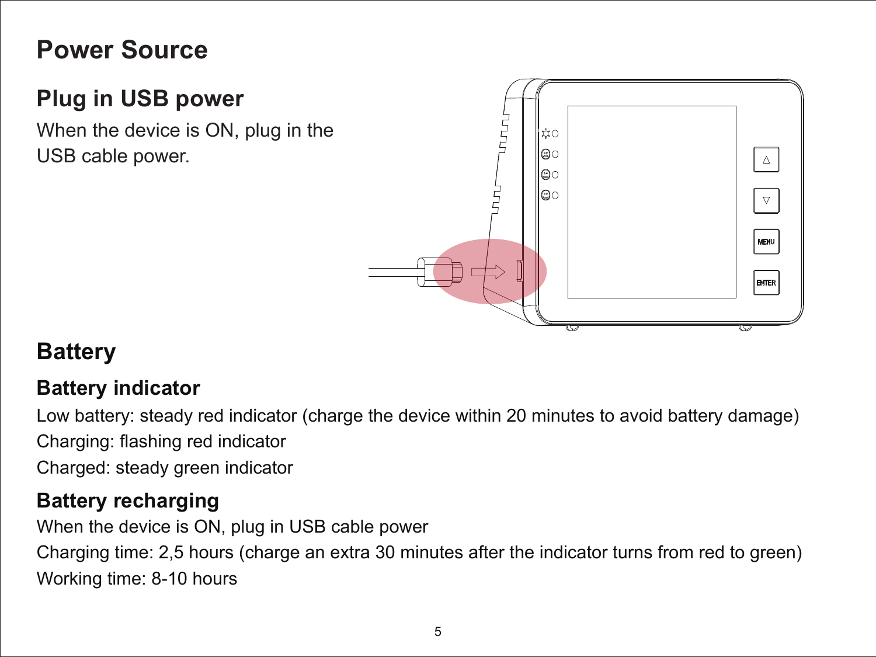### **Power Source**

### **Plug in USB power**

When the device is ON, plug in the USB cable power.



#### **Battery**

#### **Battery indicator**

Low battery: steady red indicator (charge the device within 20 minutes to avoid battery damage) Charging: flashing red indicator

Charged: steady green indicator

#### **Battery recharging**

When the device is ON, plug in USB cable power Charging time: 2,5 hours (charge an extra 30 minutes after the indicator turns from red to green) Working time: 8-10 hours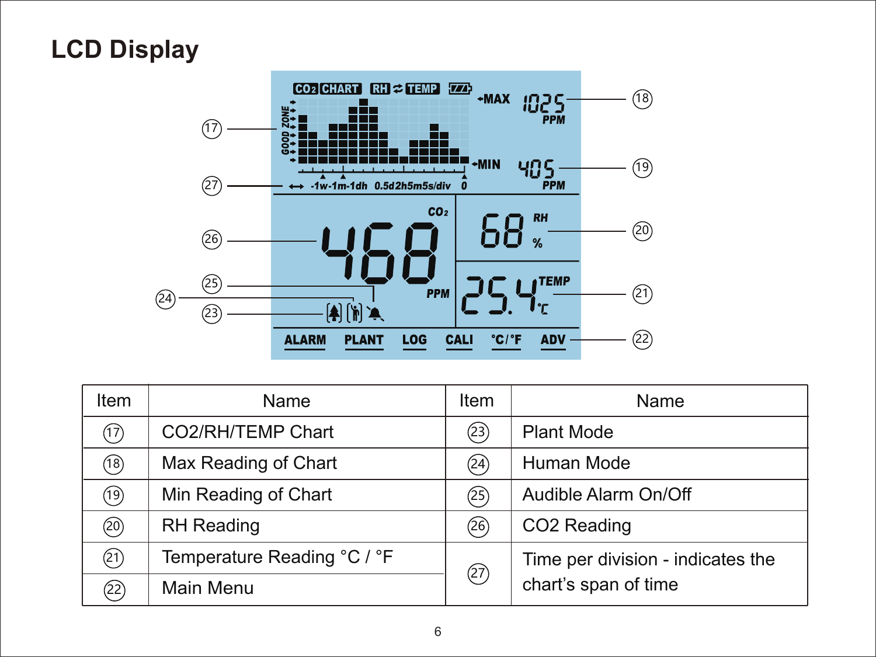## **LCD Display**



| Item | Name                        | Item | Name                              |
|------|-----------------------------|------|-----------------------------------|
| (17) | CO2/RH/TEMP Chart           | (23) | Plant Mode                        |
| 18)  | Max Reading of Chart        | (24) | Human Mode                        |
| 19)  | Min Reading of Chart        | ව    | Audible Alarm On/Off              |
| @    | <b>RH</b> Reading           | (26) | CO2 Reading                       |
| (21) | Temperature Reading °C / °F | (27) | Time per division - indicates the |
| (22) | Main Menu                   |      | chart's span of time              |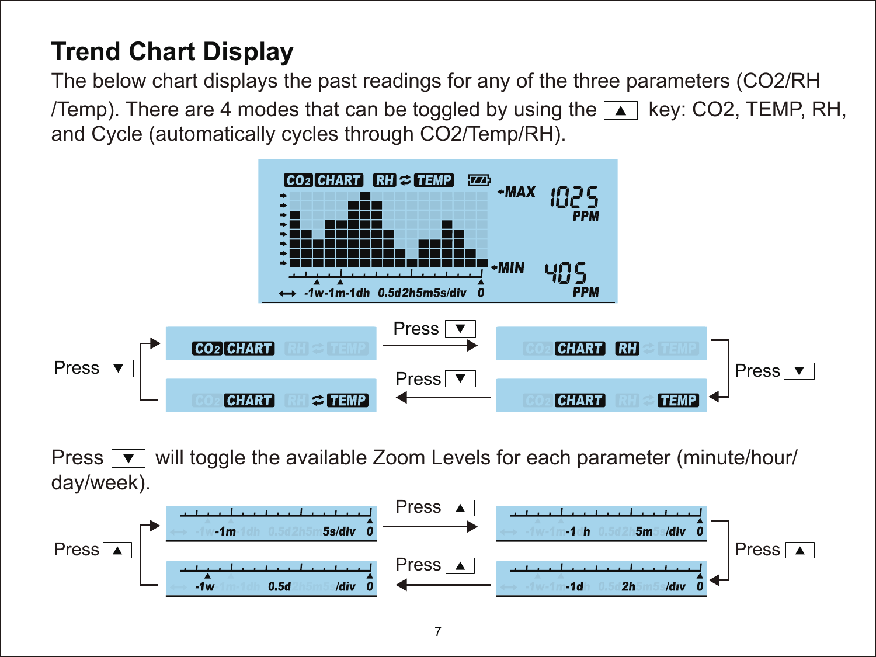## **Trend Chart Display**

The below chart displays the past readings for any of the three parameters (CO2/RH /Temp). There are 4 modes that can be toggled by using the  $\blacktriangle$  key: CO2, TEMP, RH, and Cycle (automatically cycles through CO2/Temp/RH).



Press  $\boxed{\mathbf{v}}$  will toggle the available Zoom Levels for each parameter (minute/hour/ day/week).

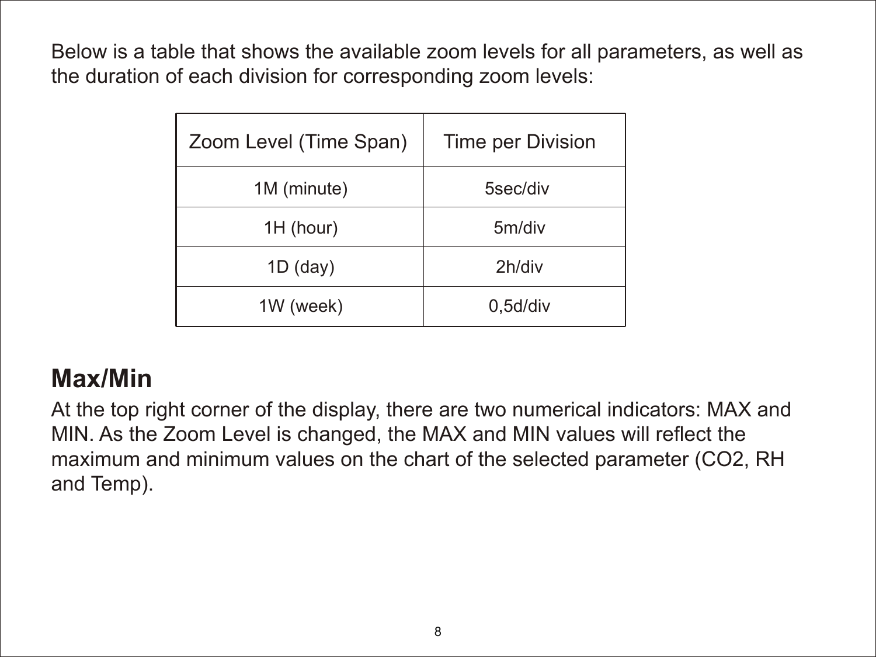Below is a table that shows the available zoom levels for all parameters, as well as the duration of each division for corresponding zoom levels:

| Zoom Level (Time Span) | Time per Division |
|------------------------|-------------------|
| 1M (minute)            | 5sec/div          |
| 1H (hour)              | 5m/div            |
| $1D$ (day)             | 2h/div            |
| 1W (week)              | 0,5d/div          |

#### **Max/Min**

At the top right corner of the display, there are two numerical indicators: MAX and MIN. As the Zoom Level is changed, the MAX and MIN values will reflect the maximum and minimum values on the chart of the selected parameter (CO2, RH and Temp).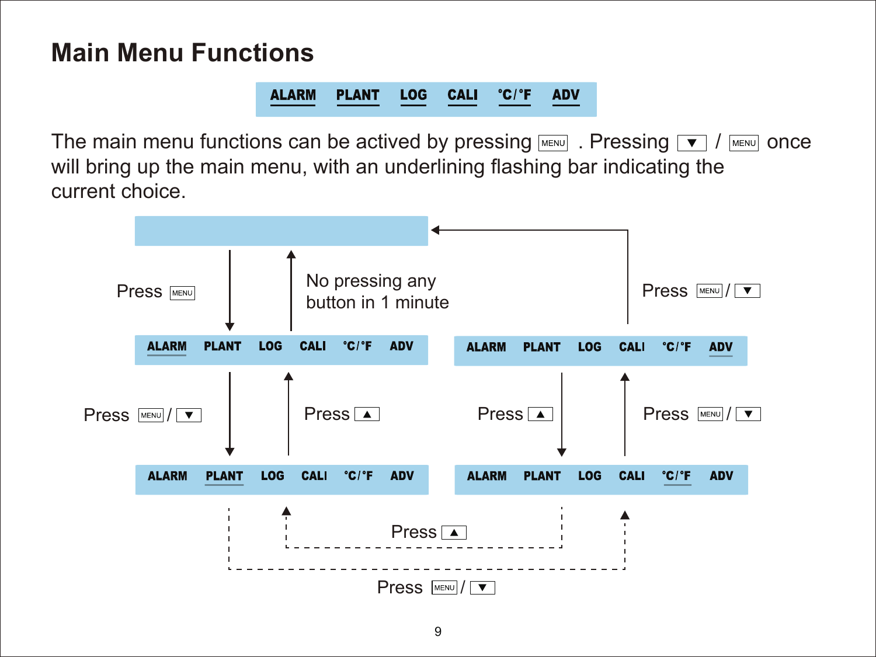#### **Main Menu Functions**

ALARM PLANT LOG CALI 'C/'F ADV

The main menu functions can be actived by pressing  $\boxed{\text{New}}$ . Pressing  $\boxed{\bullet}$  /  $\boxed{\text{New}}$  once will bring up the main menu, with an underlining flashing bar indicating the current choice.

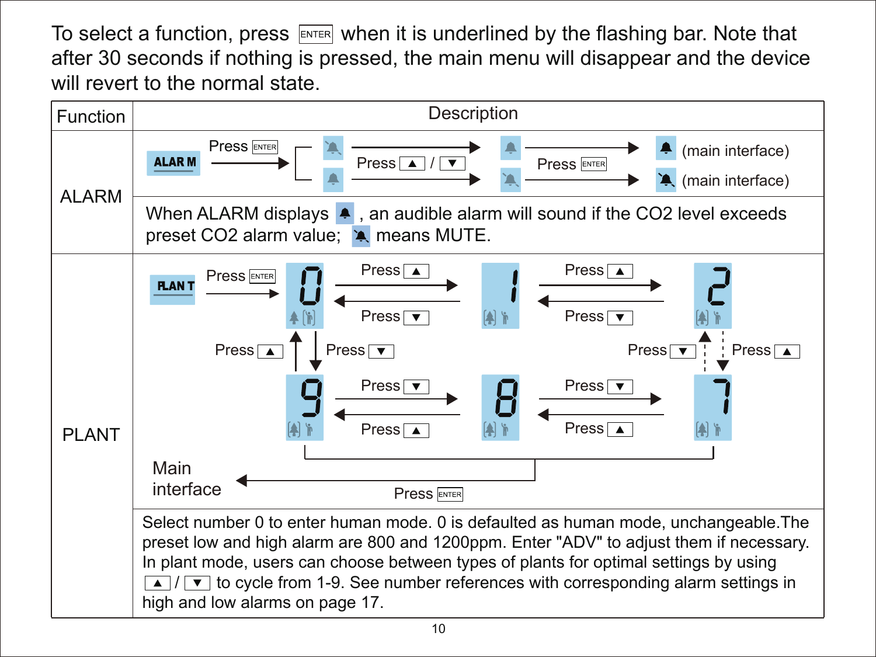To select a function, press  $F_{\text{NTER}}$  when it is underlined by the flashing bar. Note that after 30 seconds if nothing is pressed, the main menu will disappear and the device will revert to the normal state.

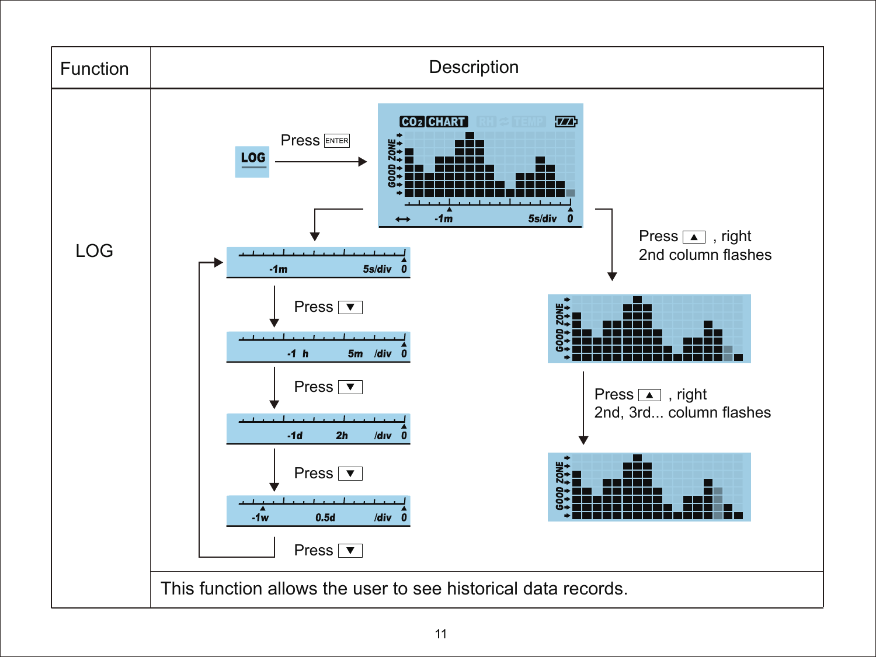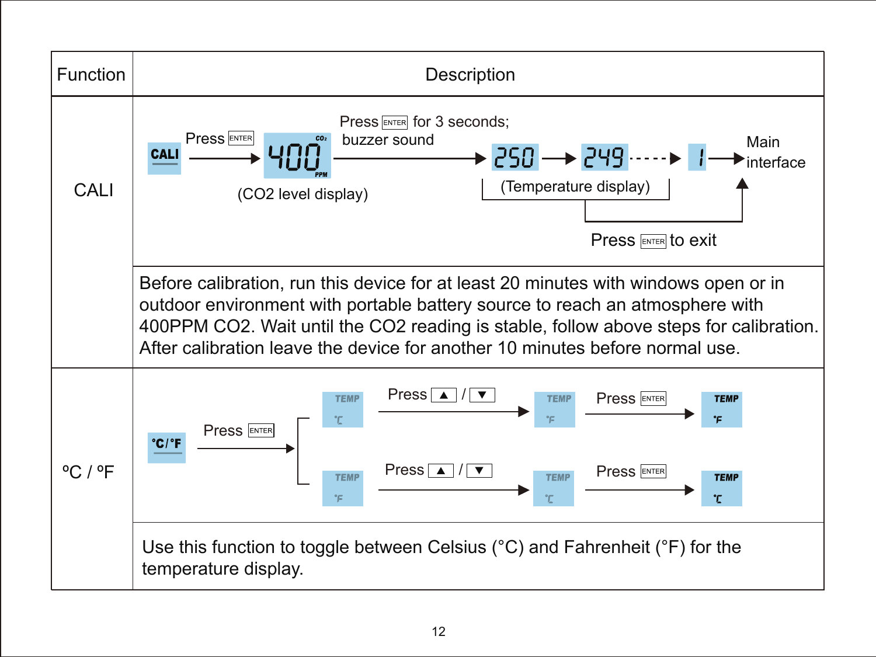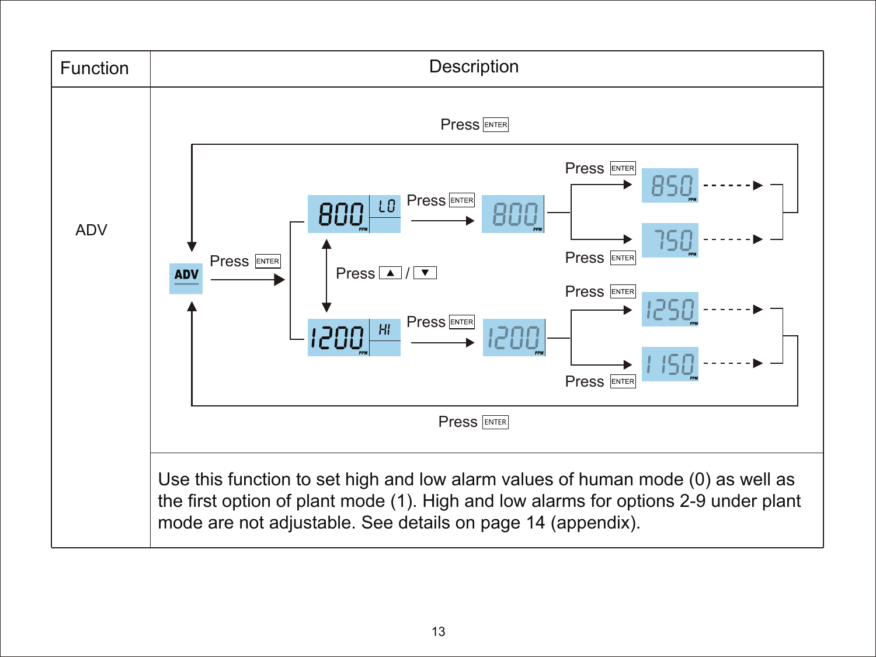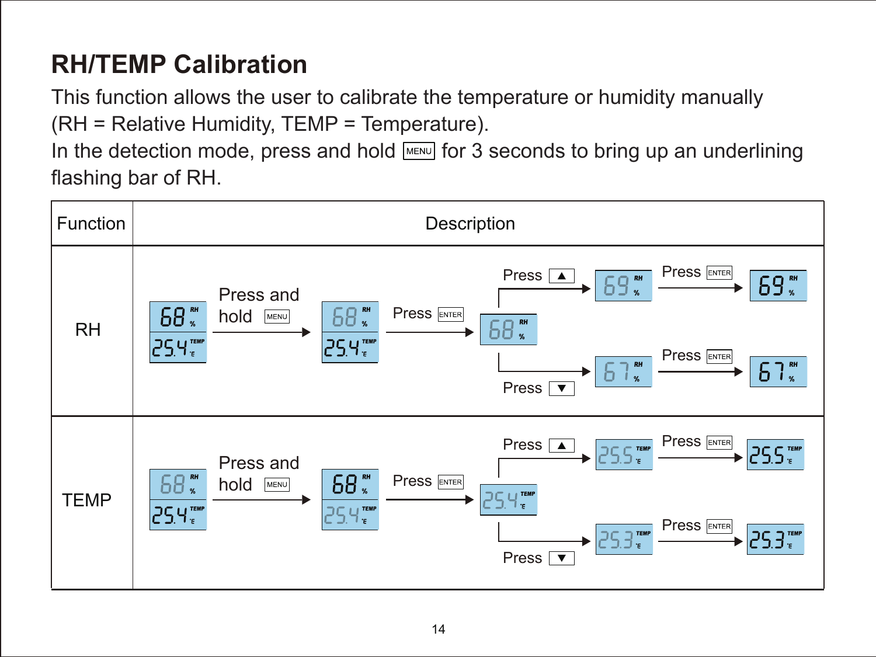## **RH/TEMP Calibration**

This function allows the user to calibrate the temperature or humidity manually (RH = Relative Humidity, TEMP = Temperature).

In the detection mode, press and hold  $\boxed{\text{MENU}}$  for 3 seconds to bring up an underlining flashing bar of RH.

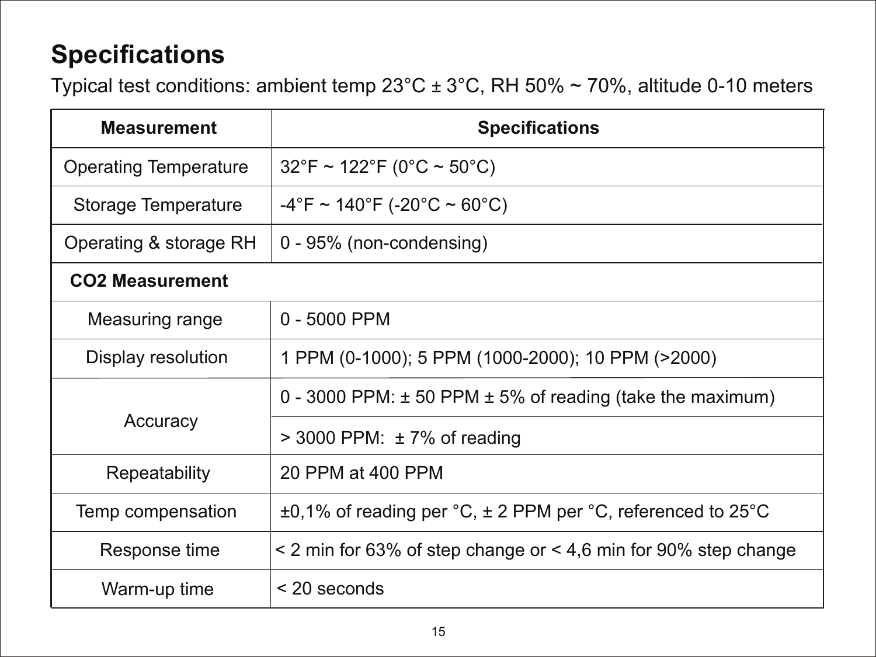## **Specifications**

Typical test conditions: ambient temp  $23^{\circ}$ C ±  $3^{\circ}$ C, RH 50% ~ 70%, altitude 0-10 meters

| <b>Measurement</b>     | <b>Specifications</b>                                                     |
|------------------------|---------------------------------------------------------------------------|
| Operating Temperature  | $32^{\circ}$ F ~ 122 $^{\circ}$ F (0 $^{\circ}$ C ~ 50 $^{\circ}$ C)      |
| Storage Temperature    | $-4^{\circ}$ F ~ 140 $^{\circ}$ F (-20 $^{\circ}$ C ~ 60 $^{\circ}$ C)    |
| Operating & storage RH | 0 - 95% (non-condensing)                                                  |
| <b>CO2 Measurement</b> |                                                                           |
| Measuring range        | $0 - 5000$ PPM                                                            |
| Display resolution     | 1 PPM (0-1000); 5 PPM (1000-2000); 10 PPM (>2000)                         |
|                        | 0 - 3000 PPM: $\pm$ 50 PPM $\pm$ 5% of reading (take the maximum)         |
| Accuracy               | $>$ 3000 PPM: $\pm$ 7% of reading                                         |
| Repeatability          | 20 PPM at 400 PPM                                                         |
| Temp compensation      | $\pm 0.1\%$ of reading per °C, $\pm$ 2 PPM per °C, referenced to 25°C     |
| Response time          | $\leq$ 2 min for 63% of step change or $\leq$ 4.6 min for 90% step change |
| Warm-up time           | $<$ 20 seconds                                                            |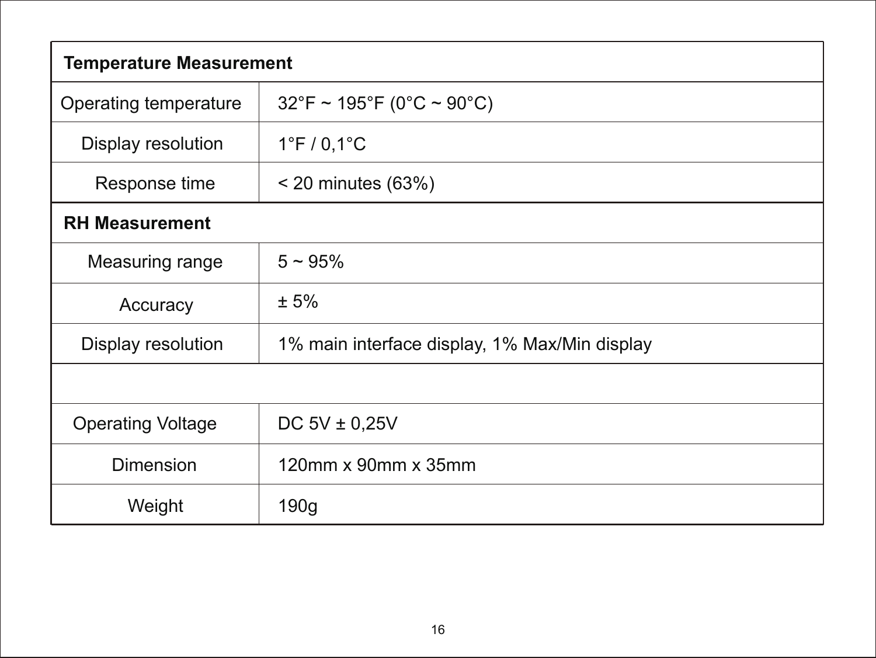| <b>Temperature Measurement</b> |                                                                      |  |
|--------------------------------|----------------------------------------------------------------------|--|
| Operating temperature          | $32^{\circ}$ F ~ 195 $^{\circ}$ F (0 $^{\circ}$ C ~ 90 $^{\circ}$ C) |  |
| Display resolution             | $1^{\circ}$ F / 0,1 $^{\circ}$ C                                     |  |
| Response time                  | $<$ 20 minutes (63%)                                                 |  |
| <b>RH Measurement</b>          |                                                                      |  |
| Measuring range                | $5 - 95%$                                                            |  |
| Accuracy                       | ± 5%                                                                 |  |
| Display resolution             | 1% main interface display, 1% Max/Min display                        |  |
|                                |                                                                      |  |
| <b>Operating Voltage</b>       | DC $5V \pm 0.25V$                                                    |  |
| Dimension                      | 120mm x 90mm x 35mm                                                  |  |
| Weight                         | 190q                                                                 |  |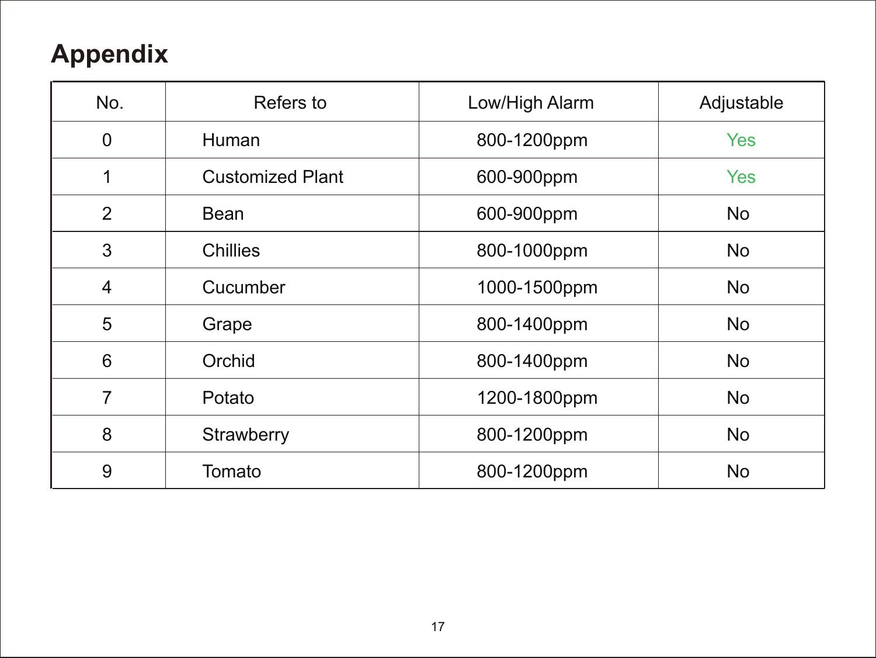## **Appendix**

| No. | Refers to               | Low/High Alarm | Adjustable |
|-----|-------------------------|----------------|------------|
| 0   | Human                   | 800-1200ppm    | <b>Yes</b> |
| 1   | <b>Customized Plant</b> | 600-900ppm     | <b>Yes</b> |
| 2   | Bean                    | 600-900ppm     | <b>No</b>  |
| 3   | Chillies                | 800-1000ppm    | No         |
| 4   | Cucumber                | 1000-1500ppm   | <b>No</b>  |
| 5   | Grape                   | 800-1400ppm    | No.        |
| 6   | Orchid                  | 800-1400ppm    | No         |
| 7   | Potato                  | 1200-1800ppm   | No         |
| 8   | Strawberry              | 800-1200ppm    | No.        |
| 9   | Tomato                  | 800-1200ppm    | No         |